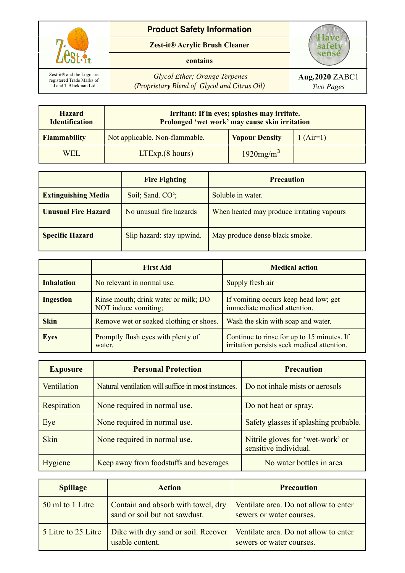

| <b>Hazard</b><br><b>Identification</b> | Irritant: If in eyes; splashes may irritate.<br>Prolonged 'wet work' may cause skin irritation |                                    |  |
|----------------------------------------|------------------------------------------------------------------------------------------------|------------------------------------|--|
| <b>Flammability</b>                    | Not applicable. Non-flammable.                                                                 | <b>Vapour Density</b><br>$(Air=1)$ |  |
| WEL                                    | LTExp.(8 hours)                                                                                | $1920$ mg/m <sup>3</sup>           |  |

|                            | <b>Fire Fighting</b>          | <b>Precaution</b>                          |
|----------------------------|-------------------------------|--------------------------------------------|
| <b>Extinguishing Media</b> | Soil; Sand. CO <sup>2</sup> ; | Soluble in water.                          |
| <b>Unusual Fire Hazard</b> | No unusual fire hazards       | When heated may produce irritating vapours |
| <b>Specific Hazard</b>     | Slip hazard: stay upwind.     | May produce dense black smoke.             |

|                   | <b>First Aid</b>                                             | <b>Medical action</b>                                                                     |
|-------------------|--------------------------------------------------------------|-------------------------------------------------------------------------------------------|
| <b>Inhalation</b> | No relevant in normal use.                                   | Supply fresh air                                                                          |
| <b>Ingestion</b>  | Rinse mouth; drink water or milk; DO<br>NOT induce vomiting; | If vomiting occurs keep head low; get<br>immediate medical attention.                     |
| <b>Skin</b>       | Remove wet or soaked clothing or shoes.                      | Wash the skin with soap and water.                                                        |
| <b>Eyes</b>       | Promptly flush eyes with plenty of<br>water.                 | Continue to rinse for up to 15 minutes. If<br>irritation persists seek medical attention. |

| <b>Exposure</b> | <b>Personal Protection</b>                          | <b>Precaution</b>                                         |
|-----------------|-----------------------------------------------------|-----------------------------------------------------------|
| Ventilation     | Natural ventilation will suffice in most instances. | Do not inhale mists or aerosols                           |
| Respiration     | None required in normal use.                        | Do not heat or spray.                                     |
| Eye             | None required in normal use.                        | Safety glasses if splashing probable.                     |
| <b>Skin</b>     | None required in normal use.                        | Nitrile gloves for 'wet-work' or<br>sensitive individual. |
| Hygiene         | Keep away from foodstuffs and beverages             | No water bottles in area                                  |

| <b>Spillage</b>     | <b>Action</b>                                                       | <b>Precaution</b>                                                 |
|---------------------|---------------------------------------------------------------------|-------------------------------------------------------------------|
| 50 ml to 1 Litre    | Contain and absorb with towel, dry<br>sand or soil but not sawdust. | Ventilate area. Do not allow to enter<br>sewers or water courses. |
| 5 Litre to 25 Litre | Dike with dry sand or soil. Recover<br>usable content.              | Ventilate area. Do not allow to enter<br>sewers or water courses. |